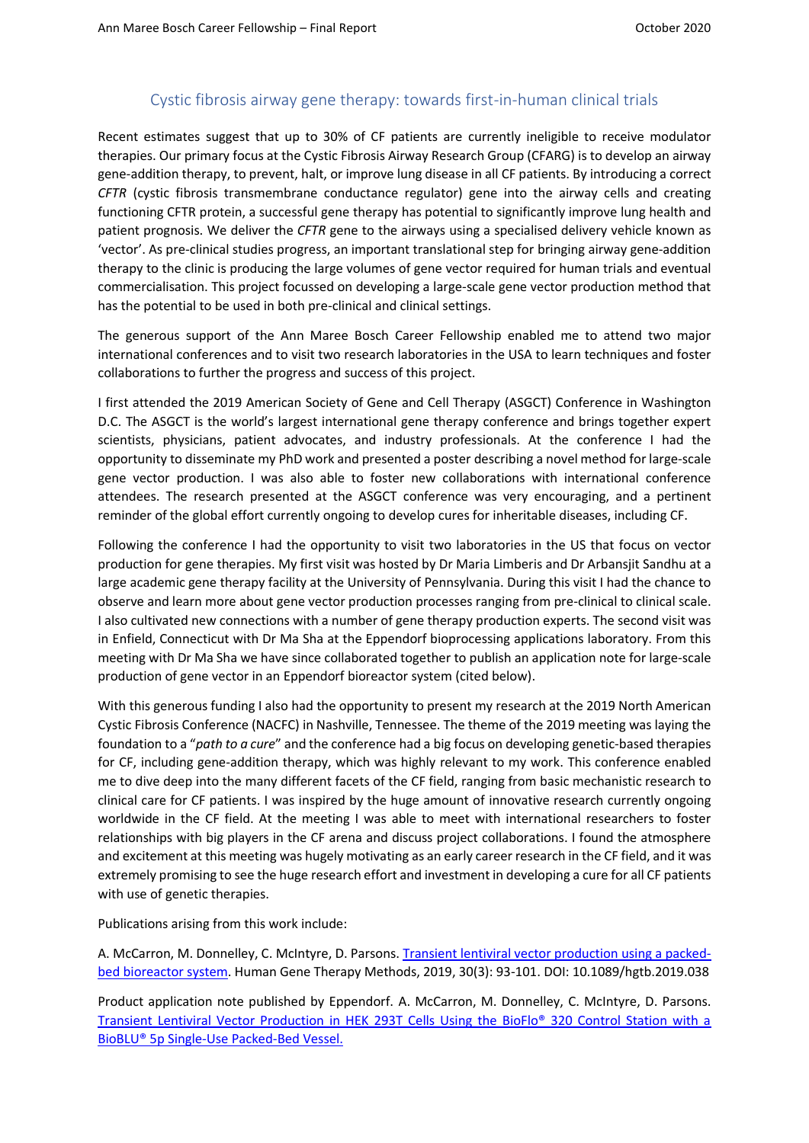## Cystic fibrosis airway gene therapy: towards first-in-human clinical trials

Recent estimates suggest that up to 30% of CF patients are currently ineligible to receive modulator therapies. Our primary focus at the Cystic Fibrosis Airway Research Group (CFARG) is to develop an airway gene-addition therapy, to prevent, halt, or improve lung disease in all CF patients. By introducing a correct *CFTR* (cystic fibrosis transmembrane conductance regulator) gene into the airway cells and creating functioning CFTR protein, a successful gene therapy has potential to significantly improve lung health and patient prognosis. We deliver the *CFTR* gene to the airways using a specialised delivery vehicle known as 'vector'. As pre-clinical studies progress, an important translational step for bringing airway gene-addition therapy to the clinic is producing the large volumes of gene vector required for human trials and eventual commercialisation. This project focussed on developing a large-scale gene vector production method that has the potential to be used in both pre-clinical and clinical settings.

The generous support of the Ann Maree Bosch Career Fellowship enabled me to attend two major international conferences and to visit two research laboratories in the USA to learn techniques and foster collaborations to further the progress and success of this project.

I first attended the 2019 American Society of Gene and Cell Therapy (ASGCT) Conference in Washington D.C. The ASGCT is the world's largest international gene therapy conference and brings together expert scientists, physicians, patient advocates, and industry professionals. At the conference I had the opportunity to disseminate my PhD work and presented a poster describing a novel method for large-scale gene vector production. I was also able to foster new collaborations with international conference attendees. The research presented at the ASGCT conference was very encouraging, and a pertinent reminder of the global effort currently ongoing to develop cures for inheritable diseases, including CF.

Following the conference I had the opportunity to visit two laboratories in the US that focus on vector production for gene therapies. My first visit was hosted by Dr Maria Limberis and Dr Arbansjit Sandhu at a large academic gene therapy facility at the University of Pennsylvania. During this visit I had the chance to observe and learn more about gene vector production processes ranging from pre-clinical to clinical scale. I also cultivated new connections with a number of gene therapy production experts. The second visit was in Enfield, Connecticut with Dr Ma Sha at the Eppendorf bioprocessing applications laboratory. From this meeting with Dr Ma Sha we have since collaborated together to publish an application note for large-scale production of gene vector in an Eppendorf bioreactor system (cited below).

With this generous funding I also had the opportunity to present my research at the 2019 North American Cystic Fibrosis Conference (NACFC) in Nashville, Tennessee. The theme of the 2019 meeting was laying the foundation to a "*path to a cure*" and the conference had a big focus on developing genetic-based therapies for CF, including gene-addition therapy, which was highly relevant to my work. This conference enabled me to dive deep into the many different facets of the CF field, ranging from basic mechanistic research to clinical care for CF patients. I was inspired by the huge amount of innovative research currently ongoing worldwide in the CF field. At the meeting I was able to meet with international researchers to foster relationships with big players in the CF arena and discuss project collaborations. I found the atmosphere and excitement at this meeting was hugely motivating as an early career research in the CF field, and it was extremely promising to see the huge research effort and investment in developing a cure for all CF patients with use of genetic therapies.

Publications arising from this work include:

A. McCarron, M. Donnelley, C. McIntyre, D. Parsons[. Transient lentiviral vector production using a packed](https://www.liebertpub.com/doi/full/10.1089/hgtb.2019.038)[bed bioreactor system.](https://www.liebertpub.com/doi/full/10.1089/hgtb.2019.038) Human Gene Therapy Methods, 2019, 30(3): 93-101. DOI: 10.1089/hgtb.2019.038

Product application note published by Eppendorf. A. McCarron, M. Donnelley, C. McIntyre, D. Parsons. [Transient Lentiviral Vector Production in HEK 293T Cells Using the BioFlo® 320 Control Station with a](https://www.eppendorf.com/product-media/doc/en/782013/Fermentors-Bioreactors_Application-Note_411_BioFlo-320_Transient-Lentiviral-Vector-Production-HEK-293T-Cells-BioFlo-320-Control-StationBioBLU-5p-Single-Packed-Bed-Vessel.pdf)  [BioBLU® 5p Single-Use Packed-Bed Vessel.](https://www.eppendorf.com/product-media/doc/en/782013/Fermentors-Bioreactors_Application-Note_411_BioFlo-320_Transient-Lentiviral-Vector-Production-HEK-293T-Cells-BioFlo-320-Control-StationBioBLU-5p-Single-Packed-Bed-Vessel.pdf)